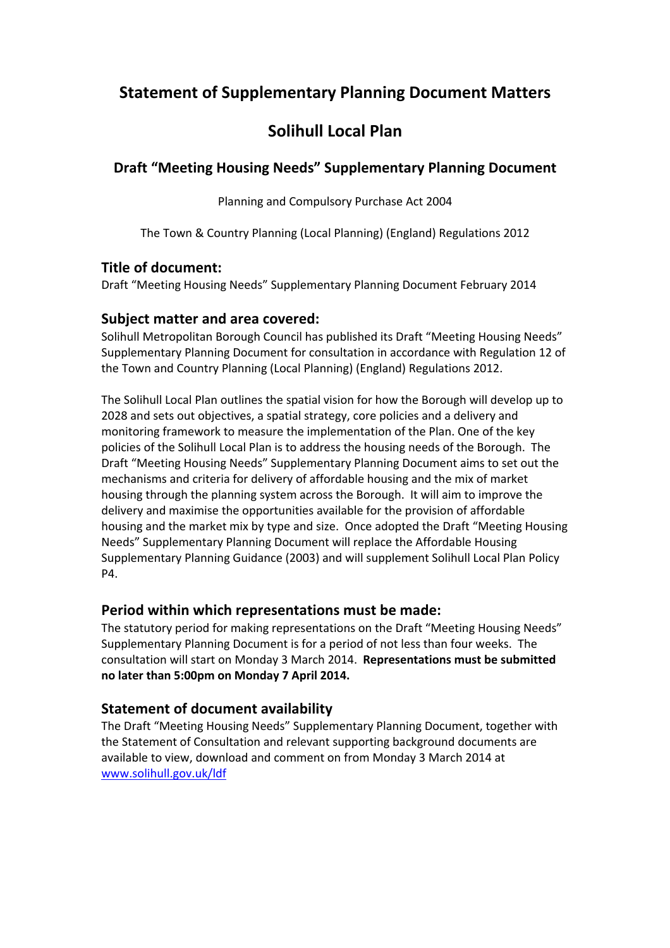## **Statement of Supplementary Planning Document Matters**

# **Solihull Local Plan**

### **Draft "Meeting Housing Needs" Supplementary Planning Document**

Planning and Compulsory Purchase Act 2004

The Town & Country Planning (Local Planning) (England) Regulations 2012

### **Title of document:**

Draft "Meeting Housing Needs" Supplementary Planning Document February 2014

### **Subject matter and area covered:**

Solihull Metropolitan Borough Council has published its Draft "Meeting Housing Needs" Supplementary Planning Document for consultation in accordance with Regulation 12 of the Town and Country Planning (Local Planning) (England) Regulations 2012.

The Solihull Local Plan outlines the spatial vision for how the Borough will develop up to 2028 and sets out objectives, a spatial strategy, core policies and a delivery and monitoring framework to measure the implementation of the Plan. One of the key policies of the Solihull Local Plan is to address the housing needs of the Borough. The Draft "Meeting Housing Needs" Supplementary Planning Document aims to set out the mechanisms and criteria for delivery of affordable housing and the mix of market housing through the planning system across the Borough. It will aim to improve the delivery and maximise the opportunities available for the provision of affordable housing and the market mix by type and size. Once adopted the Draft "Meeting Housing Needs" Supplementary Planning Document will replace the Affordable Housing Supplementary Planning Guidance (2003) and will supplement Solihull Local Plan Policy P4.

### **Period within which representations must be made:**

The statutory period for making representations on the Draft "Meeting Housing Needs" Supplementary Planning Document is for a period of not less than four weeks. The consultation will start on Monday 3 March 2014. **Representations must be submitted no later than 5:00pm on Monday 7 April 2014.** 

### **Statement of document availability**

The Draft "Meeting Housing Needs" Supplementary Planning Document, together with the Statement of Consultation and relevant supporting background documents are available to view, download and comment on from Monday 3 March 2014 at www.solihull.gov.uk/ldf